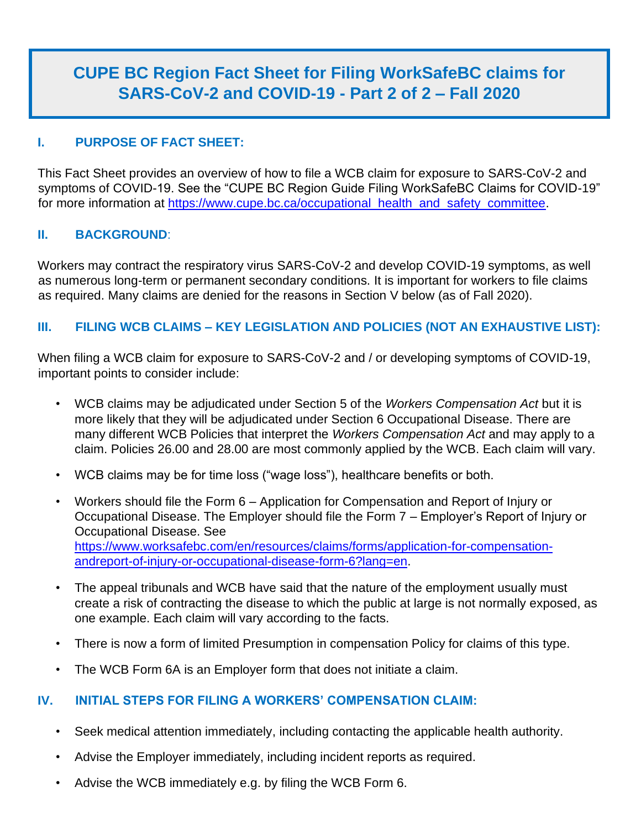# **CUPE BC Region Fact Sheet for Filing WorkSafeBC claims for SARS-CoV-2 and COVID-19 - Part 2 of 2 – Fall 2020**

# **I. PURPOSE OF FACT SHEET:**

This Fact Sheet provides an overview of how to file a WCB claim for exposure to SARS-CoV-2 and symptoms of COVID-19. See the "CUPE BC Region Guide Filing WorkSafeBC Claims for COVID-19" for more information at [https://www.cupe.bc.ca/occupational\\_health\\_and\\_safety\\_committee.](https://www.cupe.bc.ca/occupational_health_and_safety_committee)

### **II. BACKGROUND**:

Workers may contract the respiratory virus SARS-CoV-2 and develop COVID-19 symptoms, as well as numerous long-term or permanent secondary conditions. It is important for workers to file claims as required. Many claims are denied for the reasons in Section V below (as of Fall 2020).

### **III. FILING WCB CLAIMS – KEY LEGISLATION AND POLICIES (NOT AN EXHAUSTIVE LIST):**

When filing a WCB claim for exposure to SARS-CoV-2 and / or developing symptoms of COVID-19, important points to consider include:

- WCB claims may be adjudicated under Section 5 of the *Workers Compensation Act* but it is more likely that they will be adjudicated under Section 6 Occupational Disease. There are many different WCB Policies that interpret the *Workers Compensation Act* and may apply to a claim. Policies 26.00 and 28.00 are most commonly applied by the WCB. Each claim will vary.
- WCB claims may be for time loss ("wage loss"), healthcare benefits or both.
- Workers should file the Form 6 Application for Compensation and Report of Injury or Occupational Disease. The Employer should file the Form 7 – Employer's Report of Injury or Occupational Disease. See [https://www.worksafebc.com/en/resources/claims/forms/application-for-compensation](https://www.worksafebc.com/en/resources/claims/forms/application-for-compensation-and-report-of-injury-or-occupational-disease-form-6?lang=en)[andreport-of-injury-or-occupational-disease-form-6?lang=en.](https://www.worksafebc.com/en/resources/claims/forms/application-for-compensation-and-report-of-injury-or-occupational-disease-form-6?lang=en)
- The appeal tribunals and WCB have said that the nature of the employment usually must create a risk of contracting the disease to which the public at large is not normally exposed, as one example. Each claim will vary according to the facts.
- There is now a form of limited Presumption in compensation Policy for claims of this type.
- The WCB Form 6A is an Employer form that does not initiate a claim.

# **IV. INITIAL STEPS FOR FILING A WORKERS' COMPENSATION CLAIM:**

- Seek medical attention immediately, including contacting the applicable health authority.
- Advise the Employer immediately, including incident reports as required.
- Advise the WCB immediately e.g. by filing the WCB Form 6.